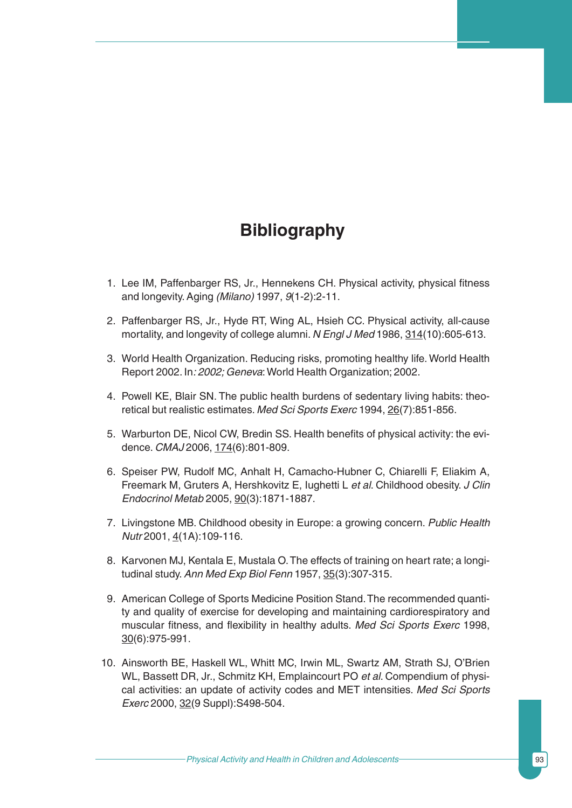## **Bibliography**

- 1. Lee IM, Paffenbarger RS, Jr., Hennekens CH. Physical activity, physical fitness and longevity. Aging *(Milano)* 1997, *9*(1-2):2-11.
- 2. Paffenbarger RS, Jr., Hyde RT, Wing AL, Hsieh CC. Physical activity, all-cause mortality, and longevity of college alumni. *N Engl J Med* 1986, 314(10):605-613.
- 3. World Health Organization. Reducing risks, promoting healthy life. World Health Report 2002. In*: 2002; Geneva*:World Health Organization; 2002.
- 4. Powell KE, Blair SN. The public health burdens of sedentary living habits: theoretical but realistic estimates. *Med Sci Sports Exerc* 1994, 26(7):851-856.
- 5. Warburton DE, Nicol CW, Bredin SS. Health benefits of physical activity: the evidence. *CMAJ* 2006, 174(6):801-809.
- 6. Speiser PW, Rudolf MC, Anhalt H, Camacho-Hubner C, Chiarelli F, Eliakim A, Freemark M, Gruters A, Hershkovitz E, Iughetti L *et al*. Childhood obesity. *J Clin Endocrinol Metab* 2005, 90(3):1871-1887.
- 7. Livingstone MB. Childhood obesity in Europe: a growing concern. *Public Health Nutr* 2001, 4(1A):109-116.
- 8. Karvonen MJ, Kentala E, Mustala O.The effects of training on heart rate; a longitudinal study.*Ann Med Exp Biol Fenn* 1957, 35(3):307-315.
- 9. American College of Sports Medicine Position Stand.The recommended quantity and quality of exercise for developing and maintaining cardiorespiratory and muscular fitness, and flexibility in healthy adults. *Med Sci Sports Exerc* 1998, 30(6):975-991.
- 10. Ainsworth BE, Haskell WL, Whitt MC, Irwin ML, Swartz AM, Strath SJ, O'Brien WL, Bassett DR, Jr., Schmitz KH, Emplaincourt PO *et al*. Compendium of physical activities: an update of activity codes and MET intensities. *Med Sci Sports Exerc* 2000, 32(9 Suppl): S498-504.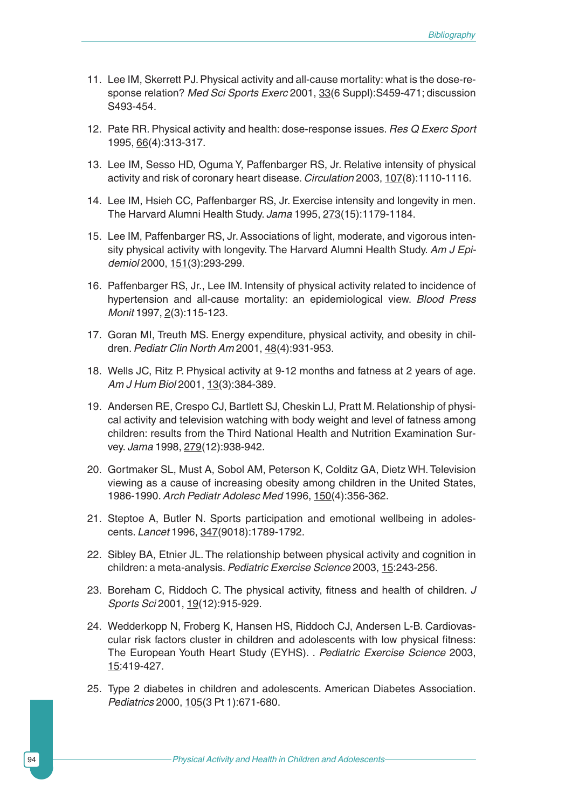- 11. Lee IM, Skerrett PJ. Physical activity and all-cause mortality: what is the dose-response relation? *Med Sci Sports Exerc* 2001, 33(6 Suppl):S459-471; discussion S493-454.
- 12. Pate RR. Physical activity and health: dose-response issues. *Res Q Exerc Sport* 1995, 66(4):313-317.
- 13. Lee IM, Sesso HD, Oguma Y, Paffenbarger RS, Jr. Relative intensity of physical activity and risk of coronary heart disease. *Circulation* 2003, 107(8):1110-1116.
- 14. Lee IM, Hsieh CC, Paffenbarger RS, Jr. Exercise intensity and longevity in men. The Harvard Alumni Health Study. *Jama* 1995, 273(15):1179-1184.
- 15. Lee IM, Paffenbarger RS, Jr. Associations of light, moderate, and vigorous intensity physical activity with longevity. The Harvard Alumni Health Study. *Am J Epidemiol* 2000, 151(3):293-299.
- 16. Paffenbarger RS, Jr., Lee IM. Intensity of physical activity related to incidence of hypertension and all-cause mortality: an epidemiological view. *Blood Press Monit* 1997, 2(3):115-123.
- 17. Goran MI, Treuth MS. Energy expenditure, physical activity, and obesity in children.*Pediatr Clin North Am* 2001, 48(4):931-953.
- 18. Wells JC, Ritz P. Physical activity at 9-12 months and fatness at 2 years of age. *Am J Hum Biol* 2001, 13(3):384-389.
- 19. Andersen RE, Crespo CJ, Bartlett SJ, Cheskin LJ, Pratt M. Relationship of physical activity and television watching with body weight and level of fatness among children: results from the Third National Health and Nutrition Examination Survey. *Jama* 1998, 279(12):938-942.
- 20. Gortmaker SL, Must A, Sobol AM, Peterson K, Colditz GA, Dietz WH. Television viewing as a cause of increasing obesity among children in the United States, 1986-1990.*Arch Pediatr Adolesc Med* 1996, 150(4):356-362.
- 21. Steptoe A, Butler N. Sports participation and emotional wellbeing in adolescents. *Lancet* 1996, 347(9018):1789-1792.
- 22. Sibley BA, Etnier JL. The relationship between physical activity and cognition in children: a meta-analysis.*Pediatric Exercise Science* 2003, 15:243-256.
- 23. Boreham C, Riddoch C. The physical activity, fitness and health of children. *J Sports Sci* 2001, 19(12):915-929.
- 24. Wedderkopp N, Froberg K, Hansen HS, Riddoch CJ, Andersen L-B. Cardiovascular risk factors cluster in children and adolescents with low physical fitness: The European Youth Heart Study (EYHS). . *Pediatric Exercise Science* 2003, 15:419-427.
- 25. Type 2 diabetes in children and adolescents. American Diabetes Association. *Pediatrics* 2000, 105(3 Pt 1):671-680.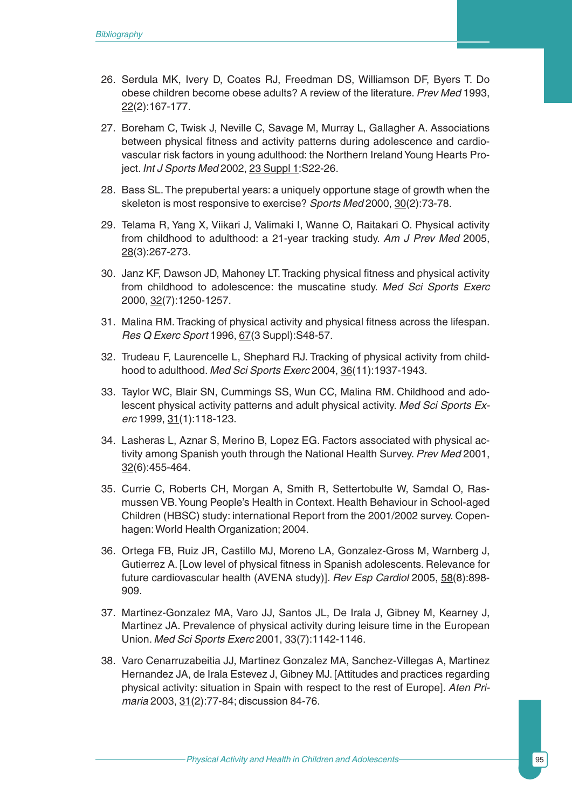- 26. Serdula MK, Ivery D, Coates RJ, Freedman DS, Williamson DF, Byers T. Do obese children become obese adults? A review of the literature. *Prev Med* 1993, 22(2):167-177.
- 27. Boreham C, Twisk J, Neville C, Savage M, Murray L, Gallagher A. Associations between physical fitness and activity patterns during adolescence and cardiovascular risk factors in young adulthood: the Northern Ireland Young Hearts Project. *Int J Sports Med* 2002, 23 Suppl 1:S22-26.
- 28. Bass SL.The prepubertal years: a uniquely opportune stage of growth when the skeleton is most responsive to exercise? *Sports Med* 2000, 30(2):73-78.
- 29. Telama R, Yang X, Viikari J, Valimaki I, Wanne O, Raitakari O. Physical activity from childhood to adulthood: a 21-year tracking study. *Am J Prev Med* 2005, 28(3):267-273.
- 30. Janz KF, Dawson JD, Mahoney LT.Tracking physical fitness and physical activity from childhood to adolescence: the muscatine study. *Med Sci Sports Exerc* 2000, 32(7):1250-1257.
- 31. Malina RM. Tracking of physical activity and physical fitness across the lifespan. *Res Q Exerc Sport* 1996, 67(3 Suppl):S48-57.
- 32. Trudeau F, Laurencelle L, Shephard RJ. Tracking of physical activity from childhood to adulthood. *Med Sci Sports Exerc* 2004, 36(11):1937-1943.
- 33. Taylor WC, Blair SN, Cummings SS, Wun CC, Malina RM. Childhood and adolescent physical activity patterns and adult physical activity. *Med Sci Sports Exerc* 1999, 31(1):118-123.
- 34. Lasheras L, Aznar S, Merino B, Lopez EG. Factors associated with physical activity among Spanish youth through the National Health Survey. *Prev Med* 2001, 32(6):455-464.
- 35. Currie C, Roberts CH, Morgan A, Smith R, Settertobulte W, Samdal O, Rasmussen VB.Young People's Health in Context. Health Behaviour in School-aged Children (HBSC) study: international Report from the 2001/2002 survey. Copenhagen:World Health Organization; 2004.
- 36. Ortega FB, Ruiz JR, Castillo MJ, Moreno LA, Gonzalez-Gross M, Warnberg J, Gutierrez A. [Low level of physical fitness in Spanish adolescents. Relevance for future cardiovascular health (AVENA study)]. *Rev Esp Cardiol* 2005, 58(8):898- 909.
- 37. Martinez-Gonzalez MA, Varo JJ, Santos JL, De Irala J, Gibney M, Kearney J, Martinez JA. Prevalence of physical activity during leisure time in the European Union. *Med Sci Sports Exerc* 2001, 33(7):1142-1146.
- 38. Varo Cenarruzabeitia JJ, Martinez Gonzalez MA, Sanchez-Villegas A, Martinez Hernandez JA, de Irala Estevez J, Gibney MJ. [Attitudes and practices regarding physical activity: situation in Spain with respect to the rest of Europe]. *Aten Primaria* 2003, 31(2):77-84; discussion 84-76.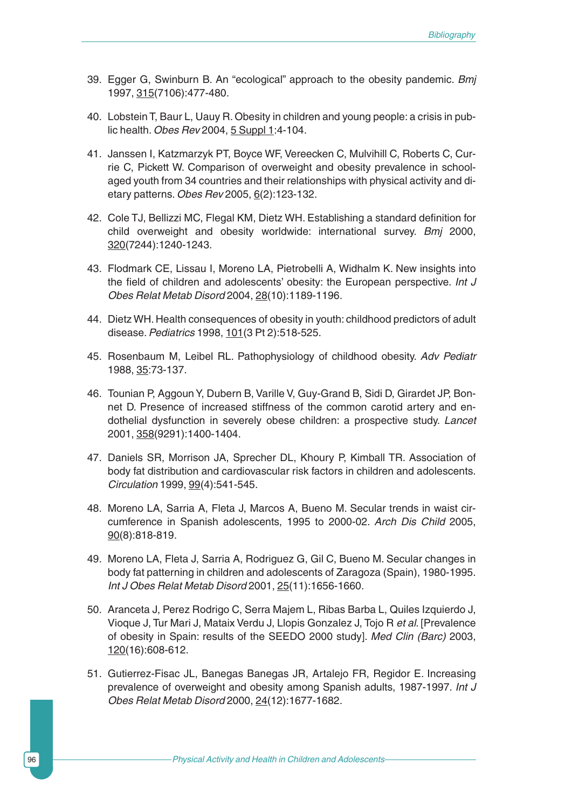- 39. Egger G, Swinburn B. An "ecological" approach to the obesity pandemic. *Bmj* 1997, 315(7106):477-480.
- 40. Lobstein T, Baur L, Uauy R. Obesity in children and young people: a crisis in public health. *Obes Rev* 2004, 5 Suppl 1:4-104.
- 41. Janssen I, Katzmarzyk PT, Boyce WF, Vereecken C, Mulvihill C, Roberts C, Currie C, Pickett W. Comparison of overweight and obesity prevalence in schoolaged youth from 34 countries and their relationships with physical activity and dietary patterns. *Obes Rev* 2005, 6(2):123-132.
- 42. Cole TJ, Bellizzi MC, Flegal KM, Dietz WH. Establishing a standard definition for child overweight and obesity worldwide: international survey. *Bmj* 2000, 320(7244):1240-1243.
- 43. Flodmark CE, Lissau I, Moreno LA, Pietrobelli A, Widhalm K. New insights into the field of children and adolescents' obesity: the European perspective. *Int J Obes Relat Metab Disord* 2004, 28(10):1189-1196.
- 44. Dietz WH. Health consequences of obesity in youth: childhood predictors of adult disease.*Pediatrics* 1998, 101(3 Pt 2):518-525.
- 45. Rosenbaum M, Leibel RL. Pathophysiology of childhood obesity. *Adv Pediatr* 1988, 35:73-137.
- 46. Tounian P, Aggoun Y, Dubern B, Varille V, Guy-Grand B, Sidi D, Girardet JP, Bonnet D. Presence of increased stiffness of the common carotid artery and endothelial dysfunction in severely obese children: a prospective study. *Lancet* 2001, 358(9291):1400-1404.
- 47. Daniels SR, Morrison JA, Sprecher DL, Khoury P, Kimball TR. Association of body fat distribution and cardiovascular risk factors in children and adolescents. *Circulation* 1999, 99(4):541-545.
- 48. Moreno LA, Sarria A, Fleta J, Marcos A, Bueno M. Secular trends in waist circumference in Spanish adolescents, 1995 to 2000-02. *Arch Dis Child* 2005, 90(8):818-819.
- 49. Moreno LA, Fleta J, Sarria A, Rodriguez G, Gil C, Bueno M. Secular changes in body fat patterning in children and adolescents of Zaragoza (Spain), 1980-1995. *Int J Obes Relat Metab Disord* 2001, 25(11):1656-1660.
- 50. Aranceta J, Perez Rodrigo C, Serra Majem L, Ribas Barba L, Quiles Izquierdo J, Vioque J, Tur Mari J, Mataix Verdu J, Llopis Gonzalez J, Tojo R *et al*. [Prevalence of obesity in Spain: results of the SEEDO 2000 study]. *Med Clin (Barc)* 2003, 120(16):608-612.
- 51. Gutierrez-Fisac JL, Banegas Banegas JR, Artalejo FR, Regidor E. Increasing prevalence of overweight and obesity among Spanish adults, 1987-1997. *Int J Obes Relat Metab Disord* 2000, 24(12):1677-1682.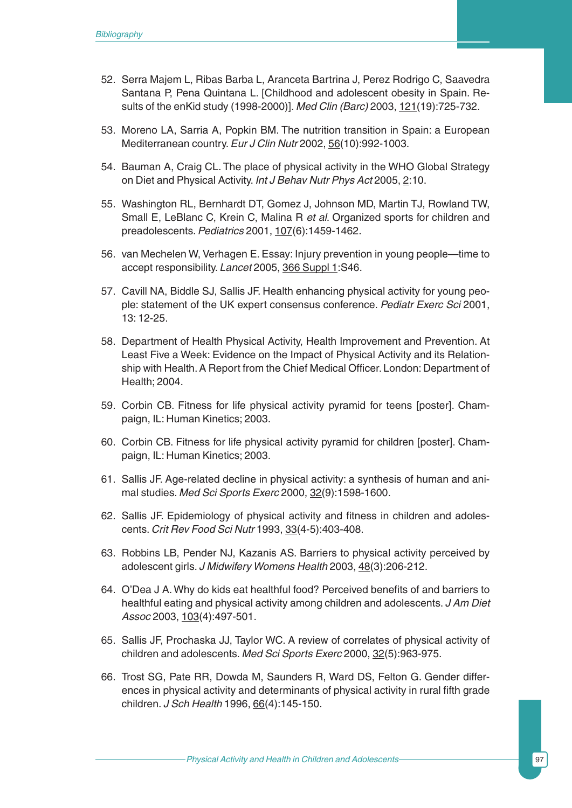- 52. Serra Majem L, Ribas Barba L, Aranceta Bartrina J, Perez Rodrigo C, Saavedra Santana P, Pena Quintana L. [Childhood and adolescent obesity in Spain. Results of the enKid study (1998-2000)]. *Med Clin (Barc)* 2003, 121(19):725-732.
- 53. Moreno LA, Sarria A, Popkin BM. The nutrition transition in Spain: a European Mediterranean country.*Eur J Clin Nutr* 2002, 56(10):992-1003.
- 54. Bauman A, Craig CL. The place of physical activity in the WHO Global Strategy on Diet and Physical Activity. *Int J Behav Nutr Phys Act* 2005, 2:10.
- 55. Washington RL, Bernhardt DT, Gomez J, Johnson MD, Martin TJ, Rowland TW, Small E, LeBlanc C, Krein C, Malina R *et al*. Organized sports for children and preadolescents.*Pediatrics* 2001, 107(6):1459-1462.
- 56. van Mechelen W, Verhagen E. Essay: Injury prevention in young people—time to accept responsibility. *Lancet* 2005, 366 Suppl 1:S46.
- 57. Cavill NA, Biddle SJ, Sallis JF. Health enhancing physical activity for young people: statement of the UK expert consensus conference. *Pediatr Exerc Sci* 2001, 13: 12-25.
- 58. Department of Health Physical Activity, Health Improvement and Prevention. At Least Five a Week: Evidence on the Impact of Physical Activity and its Relationship with Health. A Report from the Chief Medical Officer. London: Department of Health; 2004.
- 59. Corbin CB. Fitness for life physical activity pyramid for teens [poster]. Champaign, IL: Human Kinetics; 2003.
- 60. Corbin CB. Fitness for life physical activity pyramid for children [poster]. Champaign, IL: Human Kinetics; 2003.
- 61. Sallis JF. Age-related decline in physical activity: a synthesis of human and animal studies. *Med Sci Sports Exerc* 2000, 32(9):1598-1600.
- 62. Sallis JF. Epidemiology of physical activity and fitness in children and adolescents. *Crit Rev Food Sci Nutr* 1993, 33(4-5):403-408.
- 63. Robbins LB, Pender NJ, Kazanis AS. Barriers to physical activity perceived by adolescent girls. *J Midwifery Womens Health* 2003, 48(3):206-212.
- 64. O'Dea J A. Why do kids eat healthful food? Perceived benefits of and barriers to healthful eating and physical activity among children and adolescents. *J Am Diet Assoc* 2003, 103(4):497-501.
- 65. Sallis JF, Prochaska JJ, Taylor WC. A review of correlates of physical activity of children and adolescents. *Med Sci Sports Exerc* 2000, 32(5):963-975.
- 66. Trost SG, Pate RR, Dowda M, Saunders R, Ward DS, Felton G. Gender differences in physical activity and determinants of physical activity in rural fifth grade children. *J Sch Health* 1996, 66(4):145-150.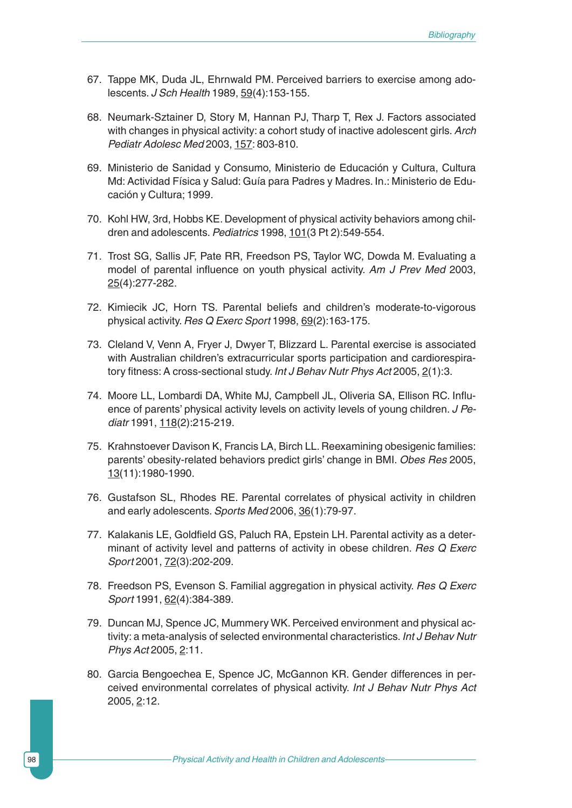- 67. Tappe MK, Duda JL, Ehrnwald PM. Perceived barriers to exercise among adolescents. *J Sch Health* 1989, 59(4):153-155.
- 68. Neumark-Sztainer D, Story M, Hannan PJ, Tharp T, Rex J. Factors associated with changes in physical activity: a cohort study of inactive adolescent girls. *Arch Pediatr Adolesc Med* 2003, 157: 803-810.
- 69. Ministerio de Sanidad y Consumo, Ministerio de Educación y Cultura, Cultura Md: Actividad Física y Salud: Guía para Padres y Madres. In*.*: Ministerio de Educación y Cultura; 1999.
- 70. Kohl HW, 3rd, Hobbs KE. Development of physical activity behaviors among children and adolescents.*Pediatrics* 1998, 101(3 Pt 2):549-554.
- 71. Trost SG, Sallis JF, Pate RR, Freedson PS, Taylor WC, Dowda M. Evaluating a model of parental influence on youth physical activity. *Am J Prev Med* 2003, 25(4):277-282.
- 72. Kimiecik JC, Horn TS. Parental beliefs and children's moderate-to-vigorous physical activity. *Res Q Exerc Sport* 1998, 69(2):163-175.
- 73. Cleland V, Venn A, Fryer J, Dwyer T, Blizzard L. Parental exercise is associated with Australian children's extracurricular sports participation and cardiorespiratory fitness: A cross-sectional study. *Int J Behav Nutr Phys Act* 2005, 2(1):3.
- 74. Moore LL, Lombardi DA, White MJ, Campbell JL, Oliveria SA, Ellison RC. Influence of parents' physical activity levels on activity levels of young children. *J Pediatr* 1991, 118(2):215-219.
- 75. Krahnstoever Davison K, Francis LA, Birch LL. Reexamining obesigenic families: parents' obesity-related behaviors predict girls' change in BMI. *Obes Res* 2005, 13(11):1980-1990.
- 76. Gustafson SL, Rhodes RE. Parental correlates of physical activity in children and early adolescents.*Sports Med* 2006, 36(1):79-97.
- 77. Kalakanis LE, Goldfield GS, Paluch RA, Epstein LH. Parental activity as a determinant of activity level and patterns of activity in obese children. *Res Q Exerc Sport* 2001, 72(3):202-209.
- 78. Freedson PS, Evenson S. Familial aggregation in physical activity. *Res Q Exerc Sport* 1991, 62(4):384-389.
- 79. Duncan MJ, Spence JC, Mummery WK. Perceived environment and physical activity: a meta-analysis of selected environmental characteristics. *Int J Behav Nutr Phys Act* 2005, 2:11.
- 80. Garcia Bengoechea E, Spence JC, McGannon KR. Gender differences in perceived environmental correlates of physical activity. *Int J Behav Nutr Phys Act* 2005, 2:12.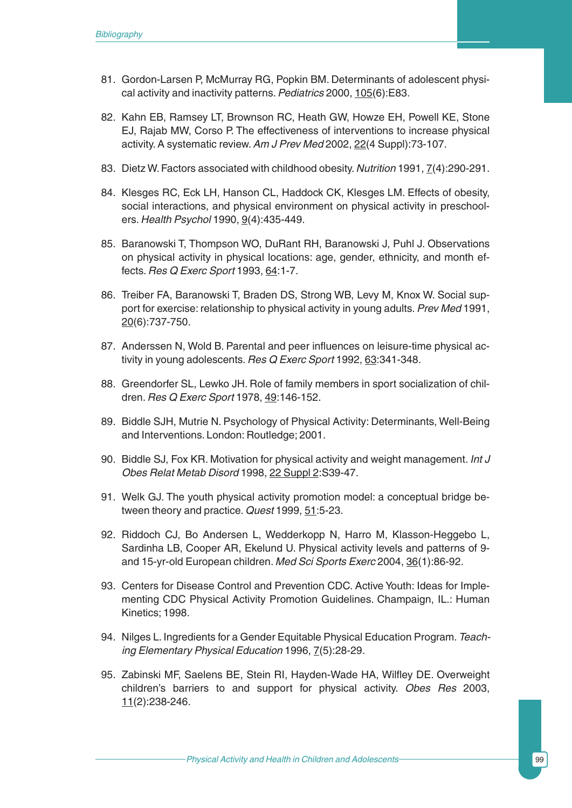- 81. Gordon-Larsen P, McMurray RG, Popkin BM. Determinants of adolescent physical activity and inactivity patterns.*Pediatrics* 2000, 105(6):E83.
- 82. Kahn EB, Ramsey LT, Brownson RC, Heath GW, Howze EH, Powell KE, Stone EJ, Rajab MW, Corso P. The effectiveness of interventions to increase physical activity. A systematic review.*Am J Prev Med* 2002, 22(4 Suppl):73-107.
- 83. Dietz W. Factors associated with childhood obesity. *Nutrition* 1991, 7(4):290-291.
- 84. Klesges RC, Eck LH, Hanson CL, Haddock CK, Klesges LM. Effects of obesity, social interactions, and physical environment on physical activity in preschoolers. *Health Psychol* 1990, 9(4):435-449.
- 85. Baranowski T, Thompson WO, DuRant RH, Baranowski J, Puhl J. Observations on physical activity in physical locations: age, gender, ethnicity, and month effects. *Res Q Exerc Sport* 1993, 64:1-7.
- 86. Treiber FA, Baranowski T, Braden DS, Strong WB, Levy M, Knox W. Social support for exercise: relationship to physical activity in young adults.*Prev Med* 1991, 20(6):737-750.
- 87. Anderssen N, Wold B. Parental and peer influences on leisure-time physical activity in young adolescents. *Res Q Exerc Sport* 1992, 63:341-348.
- 88. Greendorfer SL, Lewko JH. Role of family members in sport socialization of children. *Res Q Exerc Sport* 1978, 49:146-152.
- 89. Biddle SJH, Mutrie N. Psychology of Physical Activity: Determinants, Well-Being and Interventions. London: Routledge; 2001.
- 90. Biddle SJ, Fox KR. Motivation for physical activity and weight management. *Int J Obes Relat Metab Disord* 1998, 22 Suppl 2:S39-47.
- 91. Welk GJ. The youth physical activity promotion model: a conceptual bridge between theory and practice. *Quest* 1999, 51:5-23.
- 92. Riddoch CJ, Bo Andersen L, Wedderkopp N, Harro M, Klasson-Heggebo L, Sardinha LB, Cooper AR, Ekelund U. Physical activity levels and patterns of 9 and 15-yr-old European children. *Med Sci Sports Exerc* 2004, 36(1):86-92.
- 93. Centers for Disease Control and Prevention CDC. Active Youth: Ideas for Implementing CDC Physical Activity Promotion Guidelines. Champaign, IL.: Human Kinetics; 1998.
- 94. Nilges L. Ingredients for a Gender Equitable Physical Education Program.*Teaching Elementary Physical Education* 1996, 7(5):28-29.
- 95. Zabinski MF, Saelens BE, Stein RI, Hayden-Wade HA, Wilfley DE. Overweight children's barriers to and support for physical activity. *Obes Res* 2003, 11(2):238-246.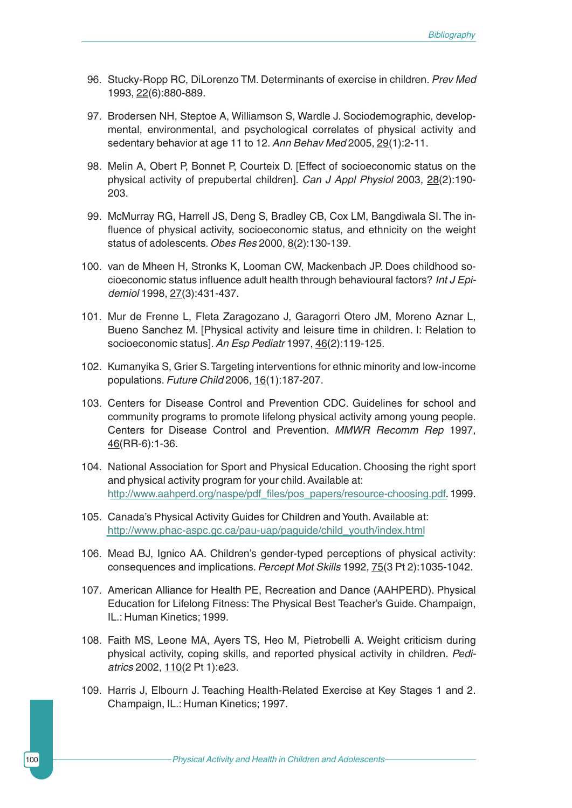- 96. Stucky-Ropp RC, DiLorenzo TM. Determinants of exercise in children. *Prev Med* 1993, 22(6):880-889.
- 97. Brodersen NH, Steptoe A, Williamson S, Wardle J. Sociodemographic, developmental, environmental, and psychological correlates of physical activity and sedentary behavior at age 11 to 12.*Ann Behav Med* 2005, 29(1):2-11.
- 98. Melin A, Obert P, Bonnet P, Courteix D. [Effect of socioeconomic status on the physical activity of prepubertal children]. *Can J Appl Physiol* 2003, 28(2):190- 203.
- 99. McMurray RG, Harrell JS, Deng S, Bradley CB, Cox LM, Bangdiwala SI. The influence of physical activity, socioeconomic status, and ethnicity on the weight status of adolescents. *Obes Res* 2000, 8(2):130-139.
- 100. van de Mheen H, Stronks K, Looman CW, Mackenbach JP. Does childhood socioeconomic status influence adult health through behavioural factors? *Int J Epidemiol* 1998, 27(3):431-437.
- 101. Mur de Frenne L, Fleta Zaragozano J, Garagorri Otero JM, Moreno Aznar L, Bueno Sanchez M. [Physical activity and leisure time in children. I: Relation to socioeconomic status].*An Esp Pediatr* 1997, 46(2):119-125.
- 102. Kumanyika S, Grier S.Targeting interventions for ethnic minority and low-income populations. *Future Child* 2006, 16(1):187-207.
- 103. Centers for Disease Control and Prevention CDC. Guidelines for school and community programs to promote lifelong physical activity among young people. Centers for Disease Control and Prevention. *MMWR Recomm Rep* 1997, [46\(RR-6\):1-36.](http://www.aahperd.org/naspe/pdf_files/pos_papers/resource-choosing.pdf)
- 104. National Association for Sport and Physical Education. Choosing the right sport [and physical activity program for your child. Available at:](http://www.phac-aspc.gc.ca/pau-uap/paguide/child_youth/index.html) http://www.aahperd.org/naspe/pdf\_files/pos\_papers/resource-choosing.pdf.1999.
- 105. Canada's Physical Activity Guides for Children and Youth. Available at: http://www.phac-aspc.gc.ca/pau-uap/paguide/child\_youth/index.html
- 106. Mead BJ, Ignico AA. Children's gender-typed perceptions of physical activity: consequences and implications.*Percept Mot Skills* 1992, 75(3 Pt 2):1035-1042.
- 107. American Alliance for Health PE, Recreation and Dance (AAHPERD). Physical Education for Lifelong Fitness: The Physical Best Teacher's Guide. Champaign, IL.: Human Kinetics; 1999.
- 108. Faith MS, Leone MA, Ayers TS, Heo M, Pietrobelli A. Weight criticism during physical activity, coping skills, and reported physical activity in children. *Pediatrics* 2002, 110(2 Pt 1):e23.
- 109. Harris J, Elbourn J. Teaching Health-Related Exercise at Key Stages 1 and 2. Champaign, IL.: Human Kinetics; 1997.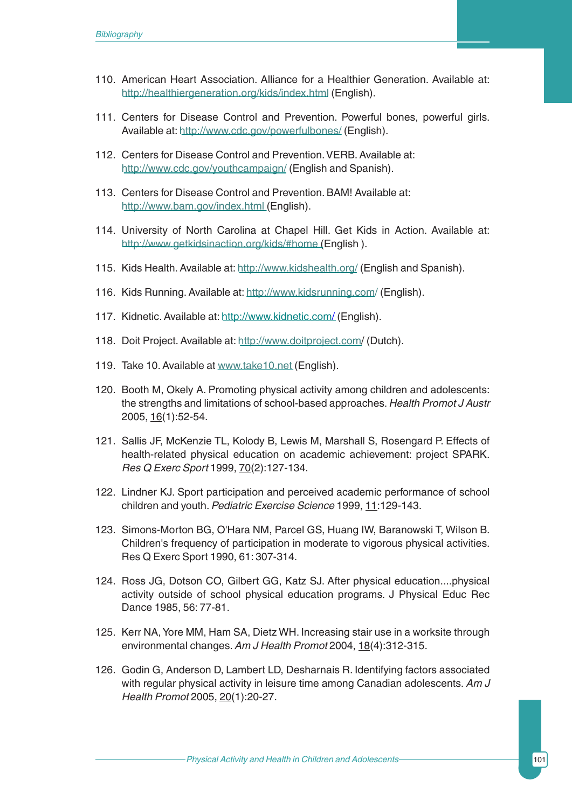## *Bibliography*

- 110. A[merican Heart Association. Alliance](http://www.cdc.gov/powerfulbones/) for a Healthier Generation. Available at: http://healthiergeneration.org/kids/index.html (English).
- [111. Centers for Disease Cont](http://www.cdc.gov/youthcampaign/)rol and Prevention. Powerful bones, powerful girls. Available at: http://www.cdc.gov/powerfulbones/ (English).
- [112. Centers for Disease Co](http://www.bam.gov/index.html)ntrol and Prevention.VERB. Available at: http://www.cdc.gov/youthcampaign/ (English and Spanish).
- [113. Centers for Disease Control and P](http://www.getkidsinaction.org/kids/#home)revention. BAM! Available at: http://www.bam.gov/index.html (English).
- 114. University of [North Carolina at Chapel H](http://www.kidshealth.org/)ill. Get Kids in Action. Available at: http://www.getkid[sinaction.org/kids/#home](http://www.kidsrunning.com/) (English ).
- 115. Kids Health. [Available at:](http://www.kidnetic.com/) http://www.kidshealth.org/ (English and Spanish).
- 116. Kids Running.Available at: [http://www.kidsr](http://www.doitproject.com)unning.com/ (English).
- 117. Kidnetic.A[vailable at:](www.take10.net) http://www.kidnetic.com/ (English).
- 118. Doit Project.Available at: http://www.doitproject.com/ (Dutch).
- 119. Take 10. Available at www.take10.net (English).
- 120. Booth M, Okely A. Promoting physical activity among children and adolescents: the strengths and limitations of school-based approaches. *Health Promot J Austr* 2005, 16(1):52-54.
- 121. Sallis JF, McKenzie TL, Kolody B, Lewis M, Marshall S, Rosengard P. Effects of health-related physical education on academic achievement: project SPARK. *Res Q Exerc Sport* 1999, 70(2):127-134.
- 122. Lindner KJ. Sport participation and perceived academic performance of school children and youth.*Pediatric Exercise Science* 1999, 11:129-143.
- 123. Simons-Morton BG, O'Hara NM, Parcel GS, Huang IW, Baranowski T, Wilson B. Children's frequency of participation in moderate to vigorous physical activities. Res Q Exerc Sport 1990, 61: 307-314.
- 124. Ross JG, Dotson CO, Gilbert GG, Katz SJ. After physical education....physical activity outside of school physical education programs. J Physical Educ Rec Dance 1985, 56: 77-81.
- 125. Kerr NA, Yore MM, Ham SA, Dietz WH. Increasing stair use in a worksite through environmental changes.*Am J Health Promot* 2004, 18(4):312-315.
- 126. Godin G, Anderson D, Lambert LD, Desharnais R. Identifying factors associated with regular physical activity in leisure time among Canadian adolescents. *Am J Health Promot* 2005, 20(1):20-27.

Physical Activity and Health in Children and Adolescents **101** 101